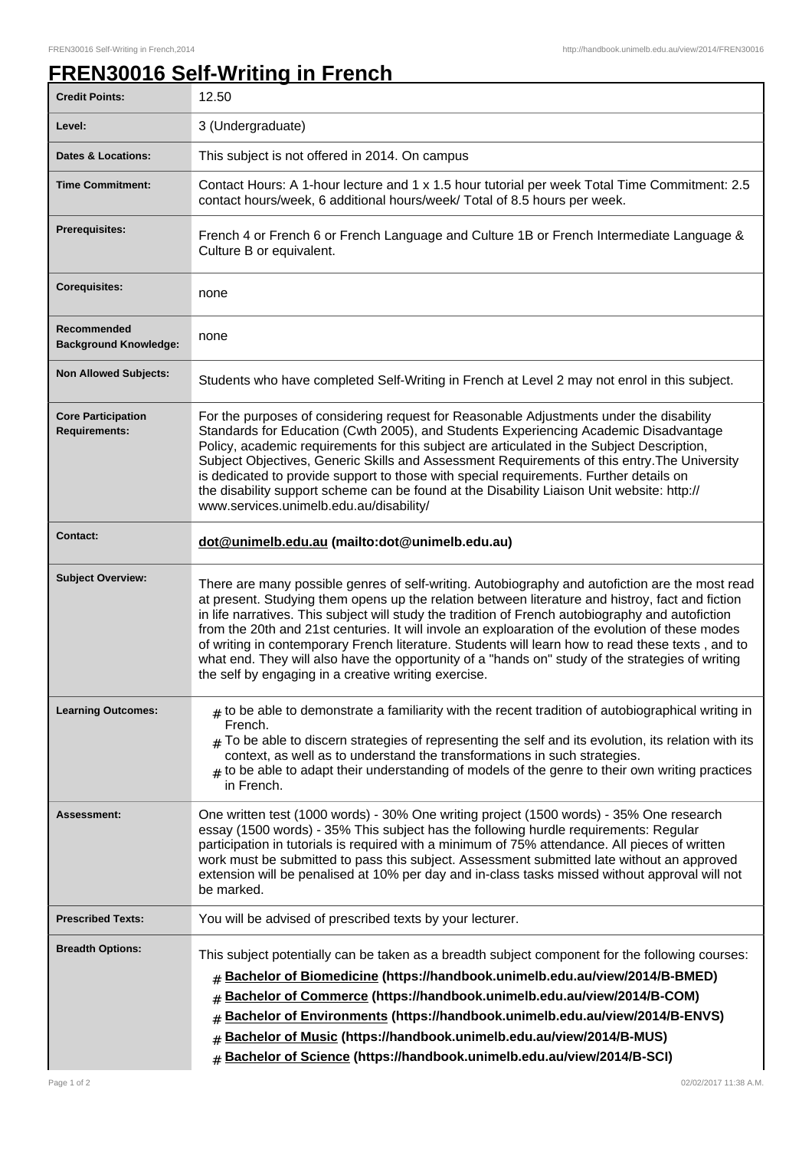## **FREN30016 Self-Writing in French**

| <b>Credit Points:</b>                             | 12.50                                                                                                                                                                                                                                                                                                                                                                                                                                                                                                                                                                                                                                                                         |
|---------------------------------------------------|-------------------------------------------------------------------------------------------------------------------------------------------------------------------------------------------------------------------------------------------------------------------------------------------------------------------------------------------------------------------------------------------------------------------------------------------------------------------------------------------------------------------------------------------------------------------------------------------------------------------------------------------------------------------------------|
| Level:                                            | 3 (Undergraduate)                                                                                                                                                                                                                                                                                                                                                                                                                                                                                                                                                                                                                                                             |
| <b>Dates &amp; Locations:</b>                     | This subject is not offered in 2014. On campus                                                                                                                                                                                                                                                                                                                                                                                                                                                                                                                                                                                                                                |
| <b>Time Commitment:</b>                           | Contact Hours: A 1-hour lecture and 1 x 1.5 hour tutorial per week Total Time Commitment: 2.5<br>contact hours/week, 6 additional hours/week/ Total of 8.5 hours per week.                                                                                                                                                                                                                                                                                                                                                                                                                                                                                                    |
| <b>Prerequisites:</b>                             | French 4 or French 6 or French Language and Culture 1B or French Intermediate Language &<br>Culture B or equivalent.                                                                                                                                                                                                                                                                                                                                                                                                                                                                                                                                                          |
| Corequisites:                                     | none                                                                                                                                                                                                                                                                                                                                                                                                                                                                                                                                                                                                                                                                          |
| Recommended<br><b>Background Knowledge:</b>       | none                                                                                                                                                                                                                                                                                                                                                                                                                                                                                                                                                                                                                                                                          |
| <b>Non Allowed Subjects:</b>                      | Students who have completed Self-Writing in French at Level 2 may not enrol in this subject.                                                                                                                                                                                                                                                                                                                                                                                                                                                                                                                                                                                  |
| <b>Core Participation</b><br><b>Requirements:</b> | For the purposes of considering request for Reasonable Adjustments under the disability<br>Standards for Education (Cwth 2005), and Students Experiencing Academic Disadvantage<br>Policy, academic requirements for this subject are articulated in the Subject Description,<br>Subject Objectives, Generic Skills and Assessment Requirements of this entry. The University<br>is dedicated to provide support to those with special requirements. Further details on<br>the disability support scheme can be found at the Disability Liaison Unit website: http://<br>www.services.unimelb.edu.au/disability/                                                              |
| <b>Contact:</b>                                   | dot@unimelb.edu.au (mailto:dot@unimelb.edu.au)                                                                                                                                                                                                                                                                                                                                                                                                                                                                                                                                                                                                                                |
| <b>Subject Overview:</b>                          | There are many possible genres of self-writing. Autobiography and autofiction are the most read<br>at present. Studying them opens up the relation between literature and histroy, fact and fiction<br>in life narratives. This subject will study the tradition of French autobiography and autofiction<br>from the 20th and 21st centuries. It will invole an exploaration of the evolution of these modes<br>of writing in contemporary French literature. Students will learn how to read these texts, and to<br>what end. They will also have the opportunity of a "hands on" study of the strategies of writing<br>the self by engaging in a creative writing exercise. |
| <b>Learning Outcomes:</b>                         | $_{\#}$ to be able to demonstrate a familiarity with the recent tradition of autobiographical writing in<br>French.<br>$_{\rm H}$ To be able to discern strategies of representing the self and its evolution, its relation with its<br>context, as well as to understand the transformations in such strategies.<br>$#$ to be able to adapt their understanding of models of the genre to their own writing practices<br>in French.                                                                                                                                                                                                                                          |
| <b>Assessment:</b>                                | One written test (1000 words) - 30% One writing project (1500 words) - 35% One research<br>essay (1500 words) - 35% This subject has the following hurdle requirements: Regular<br>participation in tutorials is required with a minimum of 75% attendance. All pieces of written<br>work must be submitted to pass this subject. Assessment submitted late without an approved<br>extension will be penalised at 10% per day and in-class tasks missed without approval will not<br>be marked.                                                                                                                                                                               |
| <b>Prescribed Texts:</b>                          | You will be advised of prescribed texts by your lecturer.                                                                                                                                                                                                                                                                                                                                                                                                                                                                                                                                                                                                                     |
| <b>Breadth Options:</b>                           | This subject potentially can be taken as a breadth subject component for the following courses:<br>Bachelor of Biomedicine (https://handbook.unimelb.edu.au/view/2014/B-BMED)<br>#<br>Bachelor of Commerce (https://handbook.unimelb.edu.au/view/2014/B-COM)<br>#<br>Bachelor of Environments (https://handbook.unimelb.edu.au/view/2014/B-ENVS)<br>#<br>Bachelor of Music (https://handbook.unimelb.edu.au/view/2014/B-MUS)<br>#<br>Bachelor of Science (https://handbook.unimelb.edu.au/view/2014/B-SCI)<br>#                                                                                                                                                               |